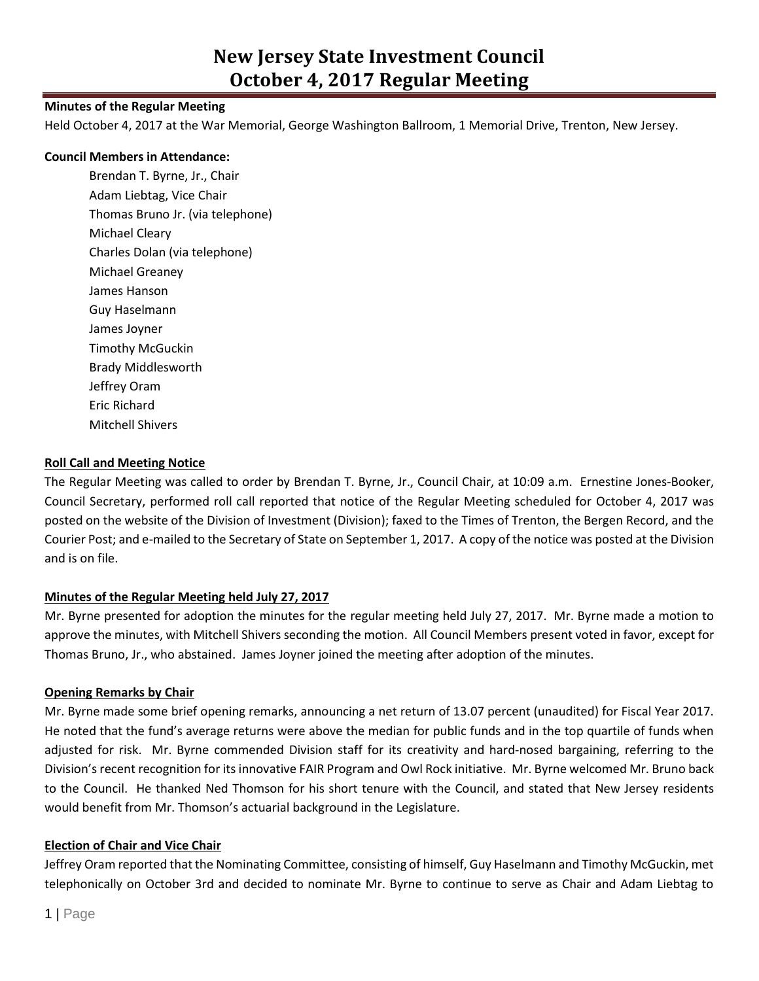## **Minutes of the Regular Meeting**

Held October 4, 2017 at the War Memorial, George Washington Ballroom, 1 Memorial Drive, Trenton, New Jersey.

#### **Council Members in Attendance:**

Brendan T. Byrne, Jr., Chair Adam Liebtag, Vice Chair Thomas Bruno Jr. (via telephone) Michael Cleary Charles Dolan (via telephone) Michael Greaney James Hanson Guy Haselmann James Joyner Timothy McGuckin Brady Middlesworth Jeffrey Oram Eric Richard Mitchell Shivers

#### **Roll Call and Meeting Notice**

The Regular Meeting was called to order by Brendan T. Byrne, Jr., Council Chair, at 10:09 a.m. Ernestine Jones-Booker, Council Secretary, performed roll call reported that notice of the Regular Meeting scheduled for October 4, 2017 was posted on the website of the Division of Investment (Division); faxed to the Times of Trenton, the Bergen Record, and the Courier Post; and e-mailed to the Secretary of State on September 1, 2017. A copy of the notice was posted at the Division and is on file.

### **Minutes of the Regular Meeting held July 27, 2017**

Mr. Byrne presented for adoption the minutes for the regular meeting held July 27, 2017. Mr. Byrne made a motion to approve the minutes, with Mitchell Shivers seconding the motion. All Council Members present voted in favor, except for Thomas Bruno, Jr., who abstained. James Joyner joined the meeting after adoption of the minutes.

### **Opening Remarks by Chair**

Mr. Byrne made some brief opening remarks, announcing a net return of 13.07 percent (unaudited) for Fiscal Year 2017. He noted that the fund's average returns were above the median for public funds and in the top quartile of funds when adjusted for risk. Mr. Byrne commended Division staff for its creativity and hard-nosed bargaining, referring to the Division's recent recognition for its innovative FAIR Program and Owl Rock initiative. Mr. Byrne welcomed Mr. Bruno back to the Council. He thanked Ned Thomson for his short tenure with the Council, and stated that New Jersey residents would benefit from Mr. Thomson's actuarial background in the Legislature.

#### **Election of Chair and Vice Chair**

Jeffrey Oram reported that the Nominating Committee, consisting of himself, Guy Haselmann and Timothy McGuckin, met telephonically on October 3rd and decided to nominate Mr. Byrne to continue to serve as Chair and Adam Liebtag to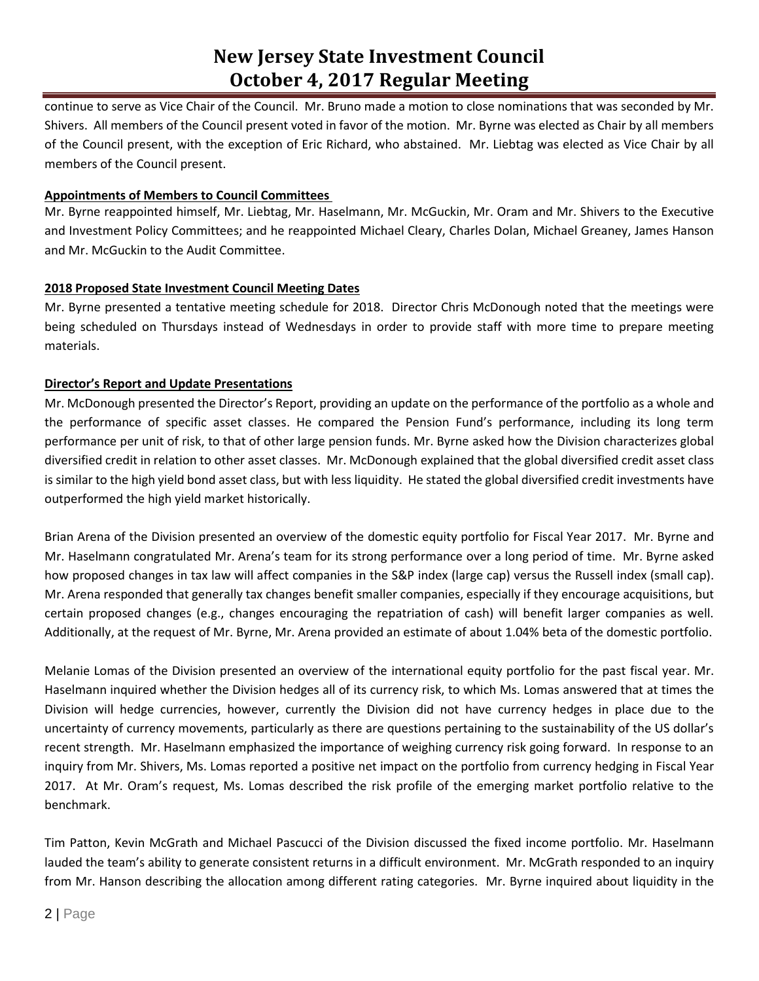continue to serve as Vice Chair of the Council. Mr. Bruno made a motion to close nominations that was seconded by Mr. Shivers. All members of the Council present voted in favor of the motion. Mr. Byrne was elected as Chair by all members of the Council present, with the exception of Eric Richard, who abstained. Mr. Liebtag was elected as Vice Chair by all members of the Council present.

## **Appointments of Members to Council Committees**

Mr. Byrne reappointed himself, Mr. Liebtag, Mr. Haselmann, Mr. McGuckin, Mr. Oram and Mr. Shivers to the Executive and Investment Policy Committees; and he reappointed Michael Cleary, Charles Dolan, Michael Greaney, James Hanson and Mr. McGuckin to the Audit Committee.

## **2018 Proposed State Investment Council Meeting Dates**

Mr. Byrne presented a tentative meeting schedule for 2018. Director Chris McDonough noted that the meetings were being scheduled on Thursdays instead of Wednesdays in order to provide staff with more time to prepare meeting materials.

## **Director's Report and Update Presentations**

Mr. McDonough presented the Director's Report, providing an update on the performance of the portfolio as a whole and the performance of specific asset classes. He compared the Pension Fund's performance, including its long term performance per unit of risk, to that of other large pension funds. Mr. Byrne asked how the Division characterizes global diversified credit in relation to other asset classes. Mr. McDonough explained that the global diversified credit asset class is similar to the high yield bond asset class, but with less liquidity. He stated the global diversified credit investments have outperformed the high yield market historically.

Brian Arena of the Division presented an overview of the domestic equity portfolio for Fiscal Year 2017. Mr. Byrne and Mr. Haselmann congratulated Mr. Arena's team for its strong performance over a long period of time. Mr. Byrne asked how proposed changes in tax law will affect companies in the S&P index (large cap) versus the Russell index (small cap). Mr. Arena responded that generally tax changes benefit smaller companies, especially if they encourage acquisitions, but certain proposed changes (e.g., changes encouraging the repatriation of cash) will benefit larger companies as well. Additionally, at the request of Mr. Byrne, Mr. Arena provided an estimate of about 1.04% beta of the domestic portfolio.

Melanie Lomas of the Division presented an overview of the international equity portfolio for the past fiscal year. Mr. Haselmann inquired whether the Division hedges all of its currency risk, to which Ms. Lomas answered that at times the Division will hedge currencies, however, currently the Division did not have currency hedges in place due to the uncertainty of currency movements, particularly as there are questions pertaining to the sustainability of the US dollar's recent strength. Mr. Haselmann emphasized the importance of weighing currency risk going forward. In response to an inquiry from Mr. Shivers, Ms. Lomas reported a positive net impact on the portfolio from currency hedging in Fiscal Year 2017. At Mr. Oram's request, Ms. Lomas described the risk profile of the emerging market portfolio relative to the benchmark.

Tim Patton, Kevin McGrath and Michael Pascucci of the Division discussed the fixed income portfolio. Mr. Haselmann lauded the team's ability to generate consistent returns in a difficult environment. Mr. McGrath responded to an inquiry from Mr. Hanson describing the allocation among different rating categories. Mr. Byrne inquired about liquidity in the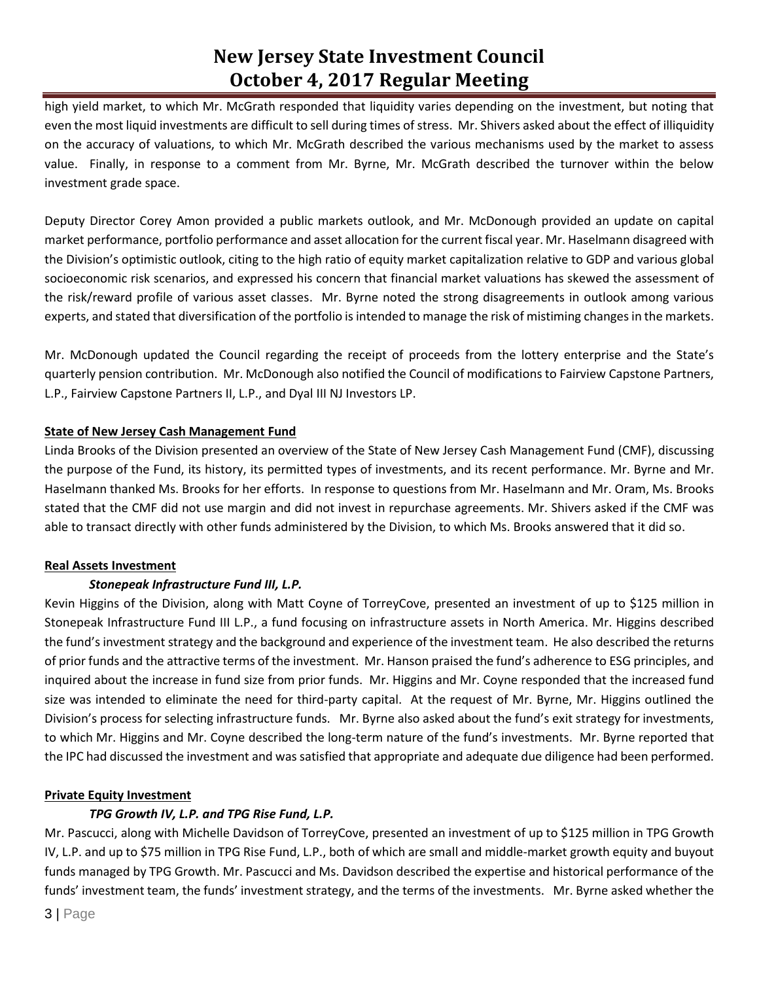high yield market, to which Mr. McGrath responded that liquidity varies depending on the investment, but noting that even the most liquid investments are difficult to sell during times of stress. Mr. Shivers asked about the effect of illiquidity on the accuracy of valuations, to which Mr. McGrath described the various mechanisms used by the market to assess value. Finally, in response to a comment from Mr. Byrne, Mr. McGrath described the turnover within the below investment grade space.

Deputy Director Corey Amon provided a public markets outlook, and Mr. McDonough provided an update on capital market performance, portfolio performance and asset allocation for the current fiscal year. Mr. Haselmann disagreed with the Division's optimistic outlook, citing to the high ratio of equity market capitalization relative to GDP and various global socioeconomic risk scenarios, and expressed his concern that financial market valuations has skewed the assessment of the risk/reward profile of various asset classes. Mr. Byrne noted the strong disagreements in outlook among various experts, and stated that diversification of the portfolio is intended to manage the risk of mistiming changes in the markets.

Mr. McDonough updated the Council regarding the receipt of proceeds from the lottery enterprise and the State's quarterly pension contribution. Mr. McDonough also notified the Council of modifications to Fairview Capstone Partners, L.P., Fairview Capstone Partners II, L.P., and Dyal III NJ Investors LP.

## **State of New Jersey Cash Management Fund**

Linda Brooks of the Division presented an overview of the State of New Jersey Cash Management Fund (CMF), discussing the purpose of the Fund, its history, its permitted types of investments, and its recent performance. Mr. Byrne and Mr. Haselmann thanked Ms. Brooks for her efforts. In response to questions from Mr. Haselmann and Mr. Oram, Ms. Brooks stated that the CMF did not use margin and did not invest in repurchase agreements. Mr. Shivers asked if the CMF was able to transact directly with other funds administered by the Division, to which Ms. Brooks answered that it did so.

# **Real Assets Investment**

# *Stonepeak Infrastructure Fund III, L.P.*

Kevin Higgins of the Division, along with Matt Coyne of TorreyCove, presented an investment of up to \$125 million in Stonepeak Infrastructure Fund III L.P., a fund focusing on infrastructure assets in North America. Mr. Higgins described the fund's investment strategy and the background and experience of the investment team. He also described the returns of prior funds and the attractive terms of the investment. Mr. Hanson praised the fund's adherence to ESG principles, and inquired about the increase in fund size from prior funds. Mr. Higgins and Mr. Coyne responded that the increased fund size was intended to eliminate the need for third-party capital. At the request of Mr. Byrne, Mr. Higgins outlined the Division's process for selecting infrastructure funds. Mr. Byrne also asked about the fund's exit strategy for investments, to which Mr. Higgins and Mr. Coyne described the long-term nature of the fund's investments. Mr. Byrne reported that the IPC had discussed the investment and was satisfied that appropriate and adequate due diligence had been performed.

# **Private Equity Investment**

# *TPG Growth IV, L.P. and TPG Rise Fund, L.P.*

Mr. Pascucci, along with Michelle Davidson of TorreyCove, presented an investment of up to \$125 million in TPG Growth IV, L.P. and up to \$75 million in TPG Rise Fund, L.P., both of which are small and middle-market growth equity and buyout funds managed by TPG Growth. Mr. Pascucci and Ms. Davidson described the expertise and historical performance of the funds' investment team, the funds' investment strategy, and the terms of the investments. Mr. Byrne asked whether the